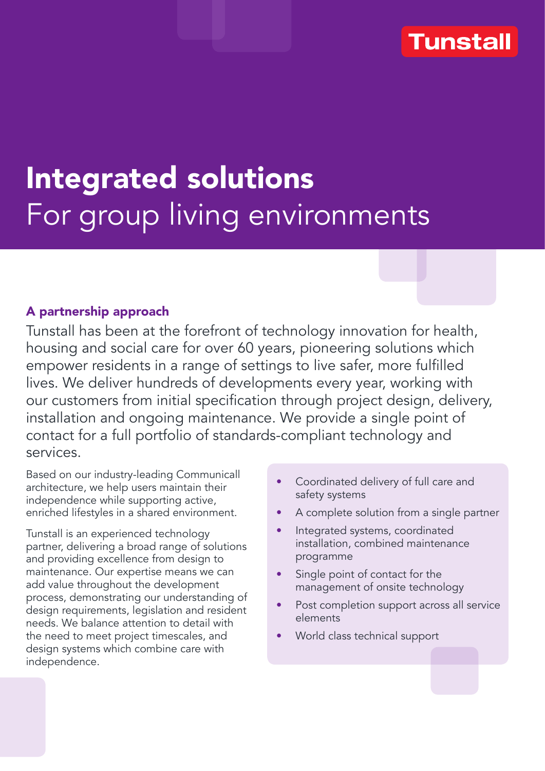## **Tunstall**

# Integrated solutions For group living environments

### A partnership approach

Tunstall has been at the forefront of technology innovation for health, housing and social care for over 60 years, pioneering solutions which empower residents in a range of settings to live safer, more fulfilled lives. We deliver hundreds of developments every year, working with our customers from initial specification through project design, delivery, installation and ongoing maintenance. We provide a single point of contact for a full portfolio of standards-compliant technology and services.

Based on our industry-leading Communicall architecture, we help users maintain their independence while supporting active, enriched lifestyles in a shared environment.

Tunstall is an experienced technology partner, delivering a broad range of solutions and providing excellence from design to maintenance. Our expertise means we can add value throughout the development process, demonstrating our understanding of design requirements, legislation and resident needs. We balance attention to detail with the need to meet project timescales, and design systems which combine care with independence.

- Coordinated delivery of full care and safety systems
- A complete solution from a single partner
- Integrated systems, coordinated installation, combined maintenance programme
- Single point of contact for the management of onsite technology
- Post completion support across all service elements
- World class technical support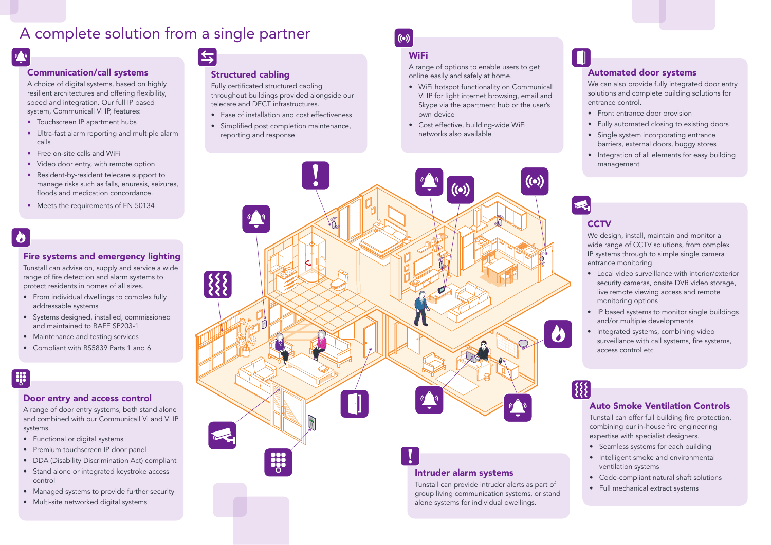### Communication/call systems

- Touchscreen IP apartment hubs
- Ultra-fast alarm reporting and multiple alarm calls
- Free on-site calls and WiFi
- Video door entry, with remote option
- Resident-by-resident telecare support to manage risks such as falls, enuresis, seizures, floods and medication concordance.
- Meets the requirements of EN 50134

A choice of digital systems, based on highly resilient architectures and offering flexibility, speed and integration. Our full IP based system, Communicall Vi IP, features:

#### Fire systems and emergency lighting

Tunstall can advise on, supply and service a wide range of fire detection and alarm systems to protect residents in homes of all sizes.

- From individual dwellings to complex fully addressable systems
- Systems designed, installed, commissioned and maintained to BAFE SP203-1
- Maintenance and testing services
- Compliant with BS5839 Parts 1 and 6

## **EXP**

### Door entry and access control

Fully certificated structured cabling throughout buildings provided alongside our telecare and DECT infrastructures.

A range of door entry systems, both stand alone and combined with our Communicall Vi and Vi IP systems.

- Functional or digital systems
- Premium touchscreen IP door panel
- DDA (Disability Discrimination Act) compliant
- Stand alone or integrated keystroke access control
- Managed systems to provide further security
- Multi-site networked digital systems

## $\Leftrightarrow$

We design, install, maintain and monitor a wide range of CCTV solutions, from complex IP systems through to simple single camera entrance monitoring.

Tunstall can offer full building fire protection, combining our in-house fire engineering expertise with specialist designers.

- Local video surveillance with interior/exterior security cameras, onsite DVR video storage, live remote viewing access and remote monitoring options
- IP based systems to monitor single buildings and/or multiple developments
- Integrated systems, combining video surveillance with call systems, fire systems, access control etc

#### Structured cabling

- Ease of installation and cost effectiveness
- Simplified post completion maintenance, reporting and response

## $((\bullet))$

## **WiFi**



A range of options to enable users to get online easily and safely at home.

- WiFi hotspot functionality on Communicall Vi IP for light internet browsing, email and Skype via the apartment hub or the user's own device
- Cost effective, building-wide WiFi networks also available

#### Automated door systems

We can also provide fully integrated door entry solutions and complete building solutions for entrance control.

- Front entrance door provision
- Fully automated closing to existing doors
- Single system incorporating entrance barriers, external doors, buggy stores
- Integration of all elements for easy building management

## **CCTV**

## Auto Smoke Ventilation Controls

- Seamless systems for each building
- Intelligent smoke and environmental ventilation systems
- Code-compliant natural shaft solutions
- Full mechanical extract systems

## A complete solution from a single partner